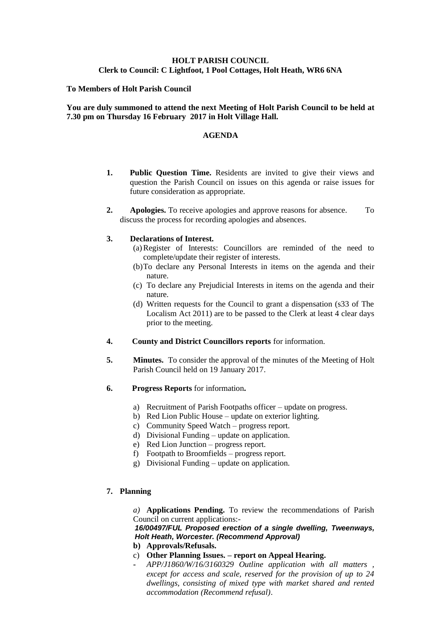# **HOLT PARISH COUNCIL Clerk to Council: C Lightfoot, 1 Pool Cottages, Holt Heath, WR6 6NA**

## **To Members of Holt Parish Council**

## **You are duly summoned to attend the next Meeting of Holt Parish Council to be held at 7.30 pm on Thursday 16 February 2017 in Holt Village Hall.**

### **AGENDA**

- **1. Public Question Time.** Residents are invited to give their views and question the Parish Council on issues on this agenda or raise issues for future consideration as appropriate.
- **2. Apologies.** To receive apologies and approve reasons for absence. To discuss the process for recording apologies and absences.

### **3. Declarations of Interest.**

- (a)Register of Interests: Councillors are reminded of the need to complete/update their register of interests.
- (b)To declare any Personal Interests in items on the agenda and their nature.
- (c) To declare any Prejudicial Interests in items on the agenda and their nature.
- (d) Written requests for the Council to grant a dispensation (s33 of The Localism Act 2011) are to be passed to the Clerk at least 4 clear days prior to the meeting.
- **4. County and District Councillors reports** for information.
- **5. Minutes.** To consider the approval of the minutes of the Meeting of Holt Parish Council held on 19 January 2017.
- **6. Progress Reports** for information**.**
	- a) Recruitment of Parish Footpaths officer update on progress.
	- b) Red Lion Public House update on exterior lighting.
	- c) Community Speed Watch progress report.
	- d) Divisional Funding update on application.
	- e) Red Lion Junction progress report.
	- f) Footpath to Broomfields progress report.
	- g) Divisional Funding update on application.

## **7. Planning**

*a)* **Applications Pending.** To review the recommendations of Parish Council on current applications:-

*16/00497/FUL Proposed erection of a single dwelling, Tweenways, Holt Heath, Worcester. (Recommend Approval)*

- **b) Approvals/Refusals.**
- c) **Other Planning Issues. – report on Appeal Hearing.**
	- **-** *APP/J1860/W/16/3160329 Outline application with all matters , except for access and scale, reserved for the provision of up to 24 dwellings, consisting of mixed type with market shared and rented accommodation (Recommend refusal)*.